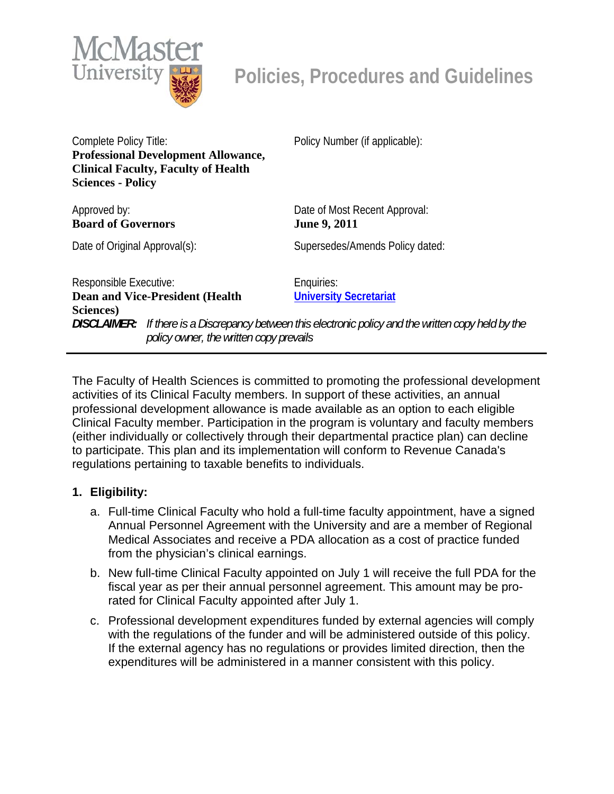

Complete Policy Title: **Professional Development Allowance, Clinical Faculty, Faculty of Health Sciences - Policy** 

Approved by: **Board of Governors** 

Policy Number (if applicable):

Date of Most Recent Approval: **June 9, 2011** 

Date of Original Approval(s): Supersedes/Amends Policy dated:

Responsible Executive: **Dean and Vice-President (Health Sciences)** 

Enquiries: **[University Secretariat](mailto:policy@mcmaster.ca?subject=%20Inquiry)**

*DISCLAIMER: If there is a Discrepancy between this electronic policy and the written copy held by the policy owner, the written copy prevails*

The Faculty of Health Sciences is committed to promoting the professional development activities of its Clinical Faculty members. In support of these activities, an annual professional development allowance is made available as an option to each eligible Clinical Faculty member. Participation in the program is voluntary and faculty members (either individually or collectively through their departmental practice plan) can decline to participate. This plan and its implementation will conform to Revenue Canada's regulations pertaining to taxable benefits to individuals.

## **1. Eligibility:**

- a. Full-time Clinical Faculty who hold a full-time faculty appointment, have a signed Annual Personnel Agreement with the University and are a member of Regional Medical Associates and receive a PDA allocation as a cost of practice funded from the physician's clinical earnings.
- b. New full-time Clinical Faculty appointed on July 1 will receive the full PDA for the fiscal year as per their annual personnel agreement. This amount may be prorated for Clinical Faculty appointed after July 1.
- c. Professional development expenditures funded by external agencies will comply with the regulations of the funder and will be administered outside of this policy. If the external agency has no regulations or provides limited direction, then the expenditures will be administered in a manner consistent with this policy.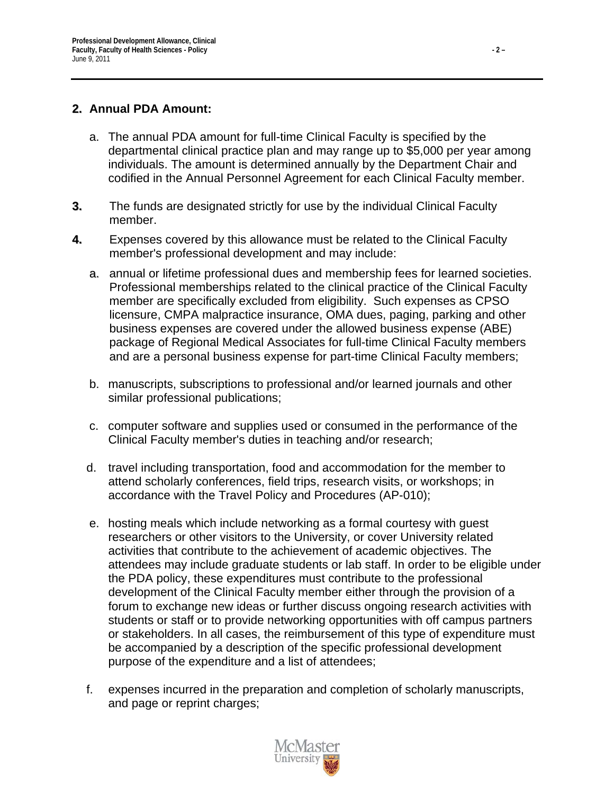## **2. Annual PDA Amount:**

- a. The annual PDA amount for full-time Clinical Faculty is specified by the departmental clinical practice plan and may range up to \$5,000 per year among individuals. The amount is determined annually by the Department Chair and codified in the Annual Personnel Agreement for each Clinical Faculty member.
- **3.** The funds are designated strictly for use by the individual Clinical Faculty member.
- **4.** Expenses covered by this allowance must be related to the Clinical Faculty member's professional development and may include:
	- a. annual or lifetime professional dues and membership fees for learned societies. Professional memberships related to the clinical practice of the Clinical Faculty member are specifically excluded from eligibility. Such expenses as CPSO licensure, CMPA malpractice insurance, OMA dues, paging, parking and other business expenses are covered under the allowed business expense (ABE) package of Regional Medical Associates for full-time Clinical Faculty members and are a personal business expense for part-time Clinical Faculty members;
	- b. manuscripts, subscriptions to professional and/or learned journals and other similar professional publications;
	- c. computer software and supplies used or consumed in the performance of the Clinical Faculty member's duties in teaching and/or research;
	- d. travel including transportation, food and accommodation for the member to attend scholarly conferences, field trips, research visits, or workshops; in accordance with the Travel Policy and Procedures (AP-010);
	- e. hosting meals which include networking as a formal courtesy with guest researchers or other visitors to the University, or cover University related activities that contribute to the achievement of academic objectives. The attendees may include graduate students or lab staff. In order to be eligible under the PDA policy, these expenditures must contribute to the professional development of the Clinical Faculty member either through the provision of a forum to exchange new ideas or further discuss ongoing research activities with students or staff or to provide networking opportunities with off campus partners or stakeholders. In all cases, the reimbursement of this type of expenditure must be accompanied by a description of the specific professional development purpose of the expenditure and a list of attendees;
	- f. expenses incurred in the preparation and completion of scholarly manuscripts, and page or reprint charges;

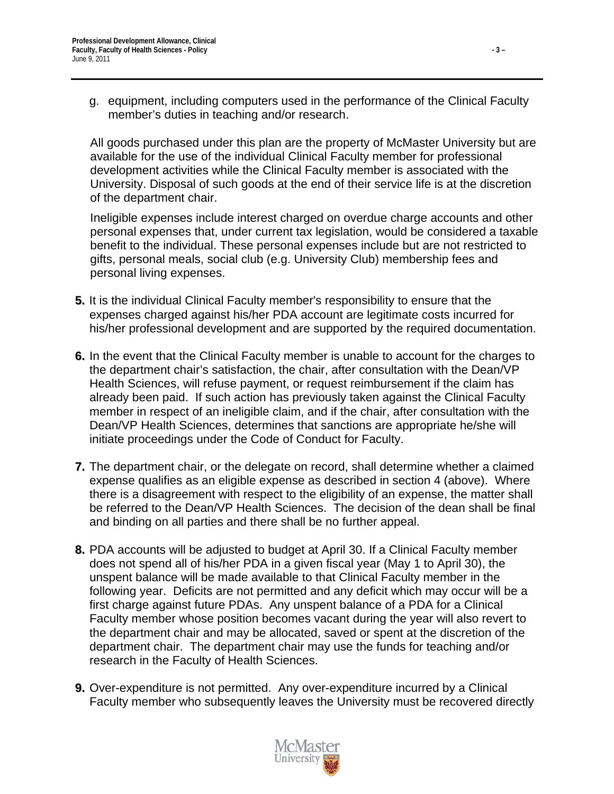g. equipment, including computers used in the performance of the Clinical Faculty member's duties in teaching and/or research.

All goods purchased under this plan are the property of McMaster University but are available for the use of the individual Clinical Faculty member for professional development activities while the Clinical Faculty member is associated with the University. Disposal of such goods at the end of their service life is at the discretion of the department chair.

Ineligible expenses include interest charged on overdue charge accounts and other personal expenses that, under current tax legislation, would be considered a taxable benefit to the individual. These personal expenses include but are not restricted to gifts, personal meals, social club (e.g. University Club) membership fees and personal living expenses.

- **5.** It is the individual Clinical Faculty member's responsibility to ensure that the expenses charged against his/her PDA account are legitimate costs incurred for his/her professional development and are supported by the required documentation.
- **6.** In the event that the Clinical Faculty member is unable to account for the charges to the department chair's satisfaction, the chair, after consultation with the Dean/VP Health Sciences, will refuse payment, or request reimbursement if the claim has already been paid. If such action has previously taken against the Clinical Faculty member in respect of an ineligible claim, and if the chair, after consultation with the Dean/VP Health Sciences, determines that sanctions are appropriate he/she will initiate proceedings under the Code of Conduct for Faculty.
- **7.** The department chair, or the delegate on record, shall determine whether a claimed expense qualifies as an eligible expense as described in section 4 (above). Where there is a disagreement with respect to the eligibility of an expense, the matter shall be referred to the Dean/VP Health Sciences. The decision of the dean shall be final and binding on all parties and there shall be no further appeal.
- **8.** PDA accounts will be adjusted to budget at April 30. If a Clinical Faculty member does not spend all of his/her PDA in a given fiscal year (May 1 to April 30), the unspent balance will be made available to that Clinical Faculty member in the following year. Deficits are not permitted and any deficit which may occur will be a first charge against future PDAs. Any unspent balance of a PDA for a Clinical Faculty member whose position becomes vacant during the year will also revert to the department chair and may be allocated, saved or spent at the discretion of the department chair. The department chair may use the funds for teaching and/or research in the Faculty of Health Sciences.
- **9.** Over-expenditure is not permitted. Any over-expenditure incurred by a Clinical Faculty member who subsequently leaves the University must be recovered directly